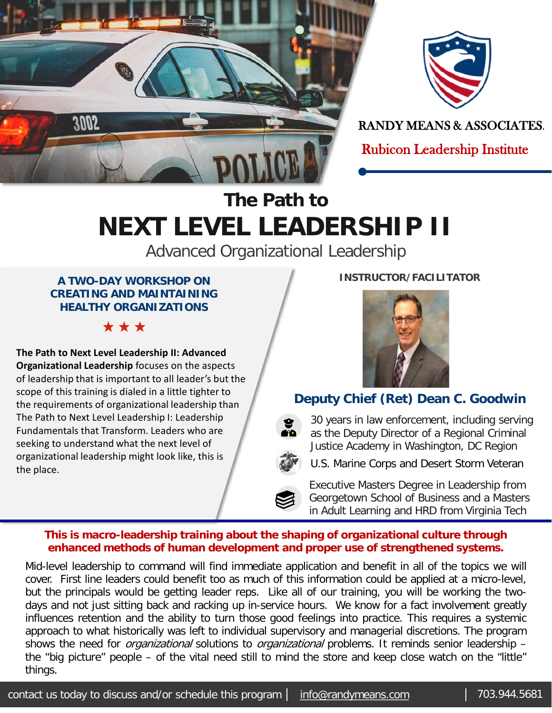



RANDY MEANS & ASSOCIATES,

Rubicon Leadership Institute

## **The Path to NEXT LEVEL LEADERSHIP II**

Advanced Organizational Leadership

#### **A TWO-DAY WORKSHOP ON CREATING AND MAINTAINING HEALTHY ORGANIZATIONS**

\* \* \*

**The Path to Next Level Leadership II: Advanced Organizational Leadership** focuses on the aspects of leadership that is important to all leader's but the scope of this training is dialed in a little tighter to the requirements of organizational leadership than The Path to Next Level Leadership I: Leadership Fundamentals that Transform. Leaders who are seeking to understand what the next level of organizational leadership might look like, this is the place.

#### **INSTRUCTOR/FACILITATOR**



### **Deputy Chief (Ret) Dean C. Goodwin**

30 years in law enforcement, including serving as the Deputy Director of a Regional Criminal Justice Academy in Washington, DC Region

U.S. Marine Corps and Desert Storm Veteran

Executive Masters Degree in Leadership from Georgetown School of Business and a Masters in Adult Learning and HRD from Virginia Tech

#### **This is macro-leadership training about the shaping of organizational culture through enhanced methods of human development and proper use of strengthened systems.**

Mid-level leadership to command will find immediate application and benefit in all of the topics we will cover. First line leaders could benefit too as much of this information could be applied at a micro-level, but the principals would be getting leader reps. Like all of our training, you will be working the twodays and not just sitting back and racking up in-service hours. We know for a fact involvement greatly influences retention and the ability to turn those good feelings into practice. This requires a systemic approach to what historically was left to individual supervisory and managerial discretions. The program shows the need for *organizational* solutions to *organizational* problems. It reminds senior leadership the "big picture" people – of the vital need still to mind the store and keep close watch on the "little" things.